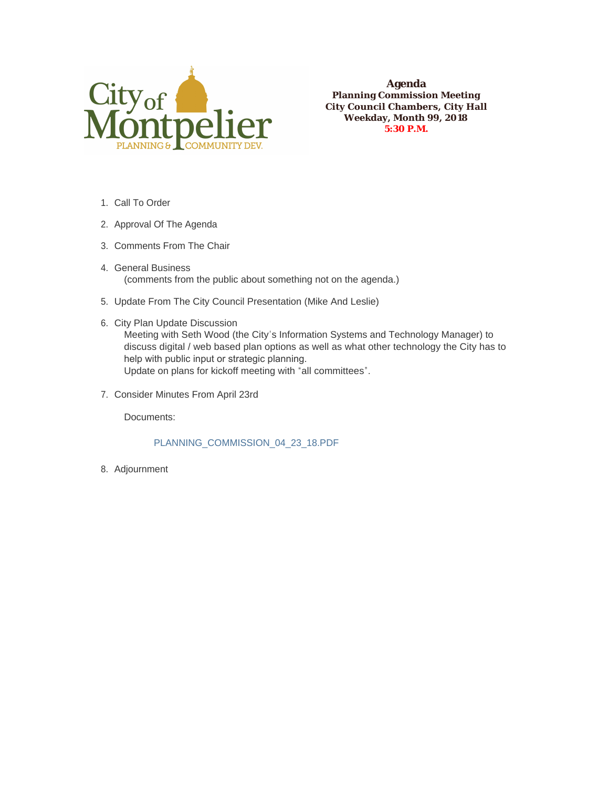

**Agenda Planning Commission Meeting City Council Chambers, City Hall Weekday, Month 99, 2018 5:30 P.M.**

- 1. Call To Order
- 2. Approval Of The Agenda
- 3. Comments From The Chair
- 4. General Business (comments from the public about something not on the agenda.)
- 5. Update From The City Council Presentation (Mike And Leslie)
- 6. City Plan Update Discussion Meeting with Seth Wood (the City's Information Systems and Technology Manager) to discuss digital / web based plan options as well as what other technology the City has to help with public input or strategic planning. Update on plans for kickoff meeting with "all committees".
- 7. Consider Minutes From April 23rd

Documents:

PLANNING\_COMMISSION\_04\_23\_18.PDF

8. Adjournment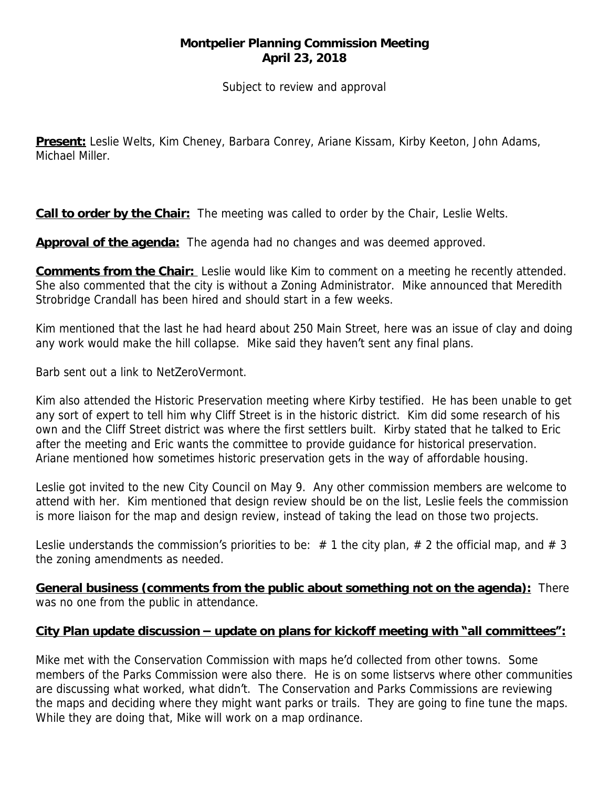## **Montpelier Planning Commission Meeting April 23, 2018**

*Subject to review and approval*

**Present:** Leslie Welts, Kim Cheney, Barbara Conrey, Ariane Kissam, Kirby Keeton, John Adams, Michael Miller.

**Call to order by the Chair:** The meeting was called to order by the Chair, Leslie Welts.

**Approval of the agenda:** The agenda had no changes and was deemed approved.

**Comments from the Chair:** Leslie would like Kim to comment on a meeting he recently attended. She also commented that the city is without a Zoning Administrator. Mike announced that Meredith Strobridge Crandall has been hired and should start in a few weeks.

Kim mentioned that the last he had heard about 250 Main Street, here was an issue of clay and doing any work would make the hill collapse. Mike said they haven't sent any final plans.

Barb sent out a link to NetZeroVermont.

Kim also attended the Historic Preservation meeting where Kirby testified. He has been unable to get any sort of expert to tell him why Cliff Street is in the historic district. Kim did some research of his own and the Cliff Street district was where the first settlers built. Kirby stated that he talked to Eric after the meeting and Eric wants the committee to provide guidance for historical preservation. Ariane mentioned how sometimes historic preservation gets in the way of affordable housing.

Leslie got invited to the new City Council on May 9. Any other commission members are welcome to attend with her. Kim mentioned that design review should be on the list, Leslie feels the commission is more liaison for the map and design review, instead of taking the lead on those two projects.

Leslie understands the commission's priorities to be:  $# 1$  the city plan,  $# 2$  the official map, and  $# 3$ the zoning amendments as needed.

**General business (comments from the public about something not on the agenda):** There was no one from the public in attendance.

## **City Plan update discussion – update on plans for kickoff meeting with "all committees":**

Mike met with the Conservation Commission with maps he'd collected from other towns. Some members of the Parks Commission were also there. He is on some listservs where other communities are discussing what worked, what didn't. The Conservation and Parks Commissions are reviewing the maps and deciding where they might want parks or trails. They are going to fine tune the maps. While they are doing that, Mike will work on a map ordinance.